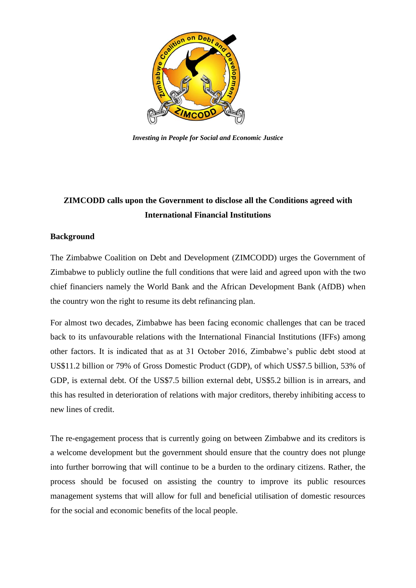

*Investing in People for Social and Economic Justice*

# **ZIMCODD calls upon the Government to disclose all the Conditions agreed with International Financial Institutions**

### **Background**

The Zimbabwe Coalition on Debt and Development (ZIMCODD) urges the Government of Zimbabwe to publicly outline the full conditions that were laid and agreed upon with the two chief financiers namely the World Bank and the African Development Bank (AfDB) when the country won the right to resume its debt refinancing plan.

For almost two decades, Zimbabwe has been facing economic challenges that can be traced back to its unfavourable relations with the International Financial Institutions (IFFs) among other factors. It is indicated that as at 31 October 2016, Zimbabwe"s public debt stood at US\$11.2 billion or 79% of Gross Domestic Product (GDP), of which US\$7.5 billion, 53% of GDP, is external debt. Of the US\$7.5 billion external debt, US\$5.2 billion is in arrears, and this has resulted in deterioration of relations with major creditors, thereby inhibiting access to new lines of credit.

The re-engagement process that is currently going on between Zimbabwe and its creditors is a welcome development but the government should ensure that the country does not plunge into further borrowing that will continue to be a burden to the ordinary citizens. Rather, the process should be focused on assisting the country to improve its public resources management systems that will allow for full and beneficial utilisation of domestic resources for the social and economic benefits of the local people.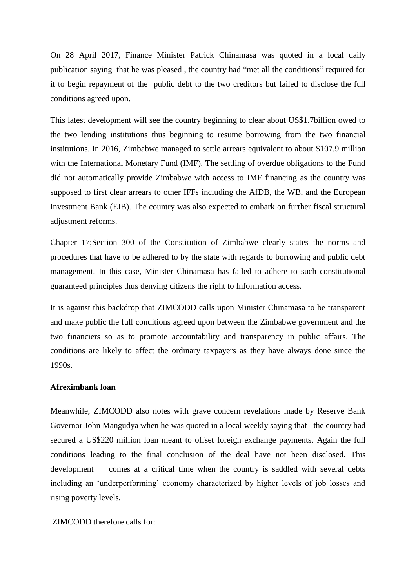On 28 April 2017, Finance Minister Patrick Chinamasa was quoted in a local daily publication saying that he was pleased , the country had "met all the conditions" required for it to begin repayment of the public debt to the two creditors but failed to disclose the full conditions agreed upon.

This latest development will see the country beginning to clear about US\$1.7billion owed to the two lending institutions thus beginning to resume borrowing from the two financial institutions. In 2016, Zimbabwe managed to settle arrears equivalent to about \$107.9 million with the International Monetary Fund (IMF). The settling of overdue obligations to the Fund did not automatically provide Zimbabwe with access to IMF financing as the country was supposed to first clear arrears to other IFFs including the AfDB, the WB, and the European Investment Bank (EIB). The country was also expected to embark on further fiscal structural adjustment reforms.

Chapter 17;Section 300 of the Constitution of Zimbabwe clearly states the norms and procedures that have to be adhered to by the state with regards to borrowing and public debt management. In this case, Minister Chinamasa has failed to adhere to such constitutional guaranteed principles thus denying citizens the right to Information access.

It is against this backdrop that ZIMCODD calls upon Minister Chinamasa to be transparent and make public the full conditions agreed upon between the Zimbabwe government and the two financiers so as to promote accountability and transparency in public affairs. The conditions are likely to affect the ordinary taxpayers as they have always done since the 1990s.

#### **Afreximbank loan**

Meanwhile, ZIMCODD also notes with grave concern revelations made by Reserve Bank Governor John Mangudya when he was quoted in a local weekly saying that the country had secured a US\$220 million loan meant to offset foreign exchange payments. Again the full conditions leading to the final conclusion of the deal have not been disclosed. This development comes at a critical time when the country is saddled with several debts including an "underperforming" economy characterized by higher levels of job losses and rising poverty levels.

ZIMCODD therefore calls for: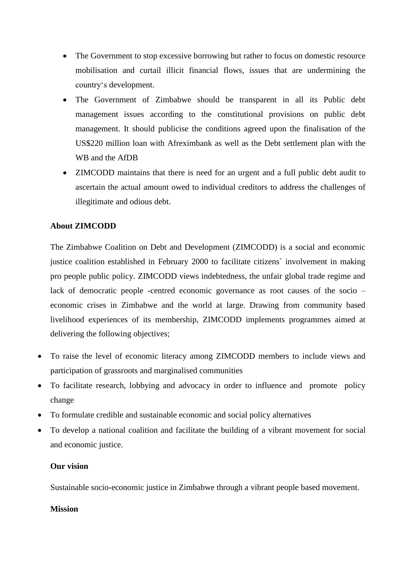- The Government to stop excessive borrowing but rather to focus on domestic resource mobilisation and curtail illicit financial flows, issues that are undermining the country"s development.
- The Government of Zimbabwe should be transparent in all its Public debt management issues according to the constitutional provisions on public debt management. It should publicise the conditions agreed upon the finalisation of the US\$220 million loan with Afreximbank as well as the Debt settlement plan with the WB and the AfDB
- ZIMCODD maintains that there is need for an urgent and a full public debt audit to ascertain the actual amount owed to individual creditors to address the challenges of illegitimate and odious debt.

# **About ZIMCODD**

The Zimbabwe Coalition on Debt and Development (ZIMCODD) is a social and economic justice coalition established in February 2000 to facilitate citizens` involvement in making pro people public policy. ZIMCODD views indebtedness, the unfair global trade regime and lack of democratic people -centred economic governance as root causes of the socio – economic crises in Zimbabwe and the world at large. Drawing from community based livelihood experiences of its membership, ZIMCODD implements programmes aimed at delivering the following objectives;

- To raise the level of economic literacy among ZIMCODD members to include views and participation of grassroots and marginalised communities
- To facilitate research, lobbying and advocacy in order to influence and promote policy change
- To formulate credible and sustainable economic and social policy alternatives
- To develop a national coalition and facilitate the building of a vibrant movement for social and economic justice.

## **Our vision**

Sustainable socio-economic justice in Zimbabwe through a vibrant people based movement.

#### **Mission**